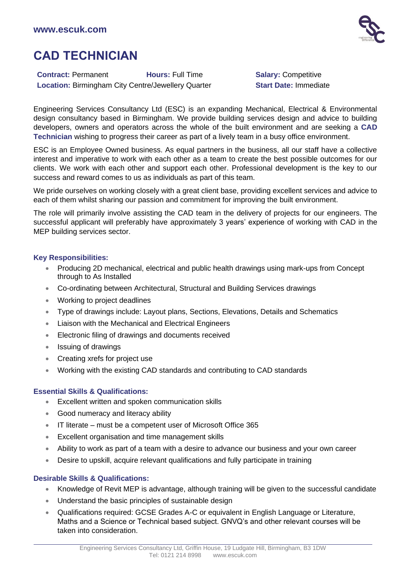

# **CAD TECHNICIAN**

**Contract:** Permanent **Hours:** Full Time **Salary:** Competitive **Location: Birmingham City Centre/Jewellery Quarter <b>Start Date: Immediate** 

Engineering Services Consultancy Ltd (ESC) is an expanding Mechanical, Electrical & Environmental design consultancy based in Birmingham. We provide building services design and advice to building developers, owners and operators across the whole of the built environment and are seeking a **CAD Technician** wishing to progress their career as part of a lively team in a busy office environment.

ESC is an Employee Owned business. As equal partners in the business, all our staff have a collective interest and imperative to work with each other as a team to create the best possible outcomes for our clients. We work with each other and support each other. Professional development is the key to our success and reward comes to us as individuals as part of this team.

We pride ourselves on working closely with a great client base, providing excellent services and advice to each of them whilst sharing our passion and commitment for improving the built environment.

The role will primarily involve assisting the CAD team in the delivery of projects for our engineers. The successful applicant will preferably have approximately 3 years' experience of working with CAD in the MEP building services sector.

## **Key Responsibilities:**

- Producing 2D mechanical, electrical and public health drawings using mark-ups from Concept through to As Installed
- Co-ordinating between Architectural, Structural and Building Services drawings
- Working to project deadlines
- Type of drawings include: Layout plans, Sections, Elevations, Details and Schematics
- Liaison with the Mechanical and Electrical Engineers
- Electronic filing of drawings and documents received
- Issuing of drawings
- Creating xrefs for project use
- Working with the existing CAD standards and contributing to CAD standards

## **Essential Skills & Qualifications:**

- Excellent written and spoken communication skills
- Good numeracy and literacy ability
- IT literate must be a competent user of Microsoft Office 365
- Excellent organisation and time management skills
- Ability to work as part of a team with a desire to advance our business and your own career
- Desire to upskill, acquire relevant qualifications and fully participate in training

## **Desirable Skills & Qualifications:**

- Knowledge of Revit MEP is advantage, although training will be given to the successful candidate
- Understand the basic principles of sustainable design
- Qualifications required: GCSE Grades A-C or equivalent in English Language or Literature, Maths and a Science or Technical based subject. GNVQ's and other relevant courses will be taken into consideration.